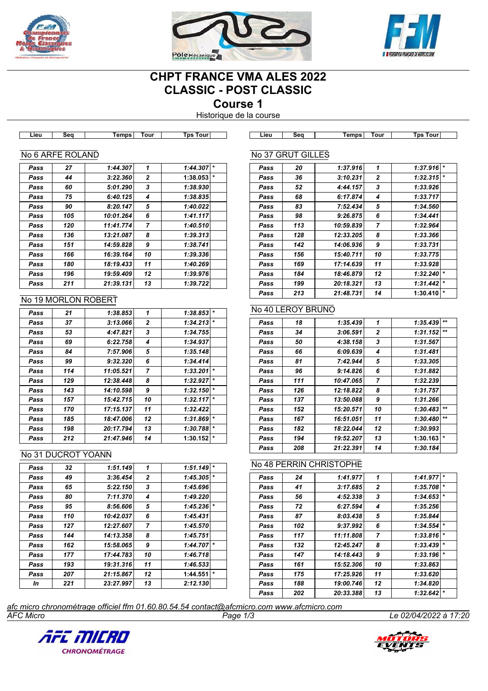





# **CHPT FRANCE VMA ALES 2022 CLASSIC - POST CLASSIC**

**Course 1**

Historique de la course

| Lieu      | Seq                 | Temps     | Tour           | <b>Tps Tour</b>                                                                           | Lieu     | Seq               | Temps                   | Tour           | <b>Tps Tour</b>             |
|-----------|---------------------|-----------|----------------|-------------------------------------------------------------------------------------------|----------|-------------------|-------------------------|----------------|-----------------------------|
|           | No 6 ARFE ROLAND    |           |                |                                                                                           |          | No 37 GRUT GILLES |                         |                |                             |
| Pass      | 27                  | 1:44.307  | 1              | $1:44.307$ *                                                                              | Pass     | 20                | 1:37.916                | 1              | 1:37.916                    |
| Pass      | 44                  | 3:22.360  | 2              | $1:38.053$ *                                                                              | Pass     | 36                | 3:10.231                | 2              | 1:32.315                    |
| Pass      | 60                  | 5:01.290  | 3              | 1:38.930                                                                                  | Pass     | 52                | 4:44.157                | 3              | 1:33.926                    |
| Pass      | 75                  | 6:40.125  | 4              | 1:38.835                                                                                  | Pass     | 68                | 6:17.874                | 4              | 1:33.717                    |
| Pass      | 90                  | 8:20.147  | 5              | 1:40.022                                                                                  | Pass     | 83                | 7:52.434                | 5              | 1:34.560                    |
| Pass      | 105                 | 10:01.264 | 6              | 1:41.117                                                                                  | Pass     | 98                | 9:26.875                | 6              | 1:34.441                    |
| Pass      | 120                 | 11:41.774 | $\overline{7}$ | 1:40.510                                                                                  | Pass     | 113               | 10:59.839               | $\overline{7}$ | 1:32.964                    |
| Pass      | 136                 | 13:21.087 | 8              | 1:39.313                                                                                  | Pass     | 128               | 12:33.205               | 8              | 1:33.366                    |
| Pass      | 151                 | 14:59.828 | 9              | 1:38.741                                                                                  | Pass     | 142               | 14:06.936               | 9              | 1:33.731                    |
| Pass      | 166                 | 16:39.164 | 10             | 1:39.336                                                                                  | Pass     | 156               | 15:40.711               | 10             | 1:33.775                    |
| Pass      | 180                 | 18:19.433 | 11             | 1:40.269                                                                                  | Pass     | 169               | 17:14.639               | 11             | 1:33.928                    |
| Pass      | 196                 | 19:59.409 | 12             | 1:39.976                                                                                  | Pass     | 184               | 18:46.879               | 12             | 1:32.240                    |
| Pass      | 211                 | 21:39.131 | 13             | 1:39.722                                                                                  | Pass     | 199               | 20:18.321               | 13             | 1:31.442                    |
|           |                     |           |                |                                                                                           | Pass     | 213               | 21:48.731               | 14             | 1:30.410<br>$\star$         |
|           | No 19 MORLON ROBERT |           |                |                                                                                           |          |                   |                         |                |                             |
| Pass      | 21                  | 1:38.853  | 1              | $1:38.853$ *                                                                              |          | No 40 LEROY BRUNO |                         |                |                             |
| Pass      | 37                  | 3:13.066  | $\mathbf{2}$   | 1:34.213                                                                                  | Pass     | 18                | 1:35.439                | $\mathbf{1}$   | 1:35.439<br>$^{\star\star}$ |
| Pass      | 53                  | 4:47.821  | 3              | 1:34.755                                                                                  | Pass     | 34                | 3:06.591                | 2              | **<br>1:31.152              |
| Pass      | 69                  | 6:22.758  | 4              | 1:34.937                                                                                  | Pass     | 50                | 4:38.158                | 3              | 1:31.567                    |
| Pass      | 84                  | 7:57.906  | 5              | 1:35.148                                                                                  | Pass     | 66                | 6:09.639                | 4              | 1:31.481                    |
| Pass      | 99                  | 9:32.320  | 6              | 1:34.414                                                                                  | Pass     | 81                | 7:42.944                | 5              | 1:33.305                    |
| Pass      | 114                 | 11:05.521 | $\overline{7}$ | $1:33.201$ *                                                                              | Pass     | 96                | 9:14.826                | 6              | 1:31.882                    |
| Pass      | 129                 | 12:38.448 | 8              | 1:32.927                                                                                  | Pass     | 111               | 10:47.065               | 7              | 1:32.239                    |
| Pass      | 143                 | 14:10.598 | 9              | 1:32.150                                                                                  | Pass     | 126               | 12:18.822               | 8              | 1:31.757                    |
| Pass      | 157                 | 15:42.715 | 10             | 1:32.117                                                                                  | Pass     | 137               | 13:50.088               | 9              | 1:31.266                    |
| Pass      | 170                 | 17:15.137 | 11             | 1:32.422                                                                                  | Pass     | 152               | 15:20.571               | 10             | 1:30.483                    |
| Pass      | 185                 | 18:47.006 | 12             | $1:31.869$ *                                                                              | Pass     | 167               | 16:51.051               | 11             | 1:30.480                    |
| Pass      | 198                 | 20:17.794 | 13             | 1:30.788                                                                                  | Pass     | 182               | 18:22.044               | 12             | 1:30.993                    |
| Pass      | 212                 | 21:47.946 | 14             | 1:30.152                                                                                  | Pass     | 194               | 19:52.207               | 13             | 1:30.163                    |
|           | No 31 DUCROT YOANN  |           |                |                                                                                           | Pass     | 208               | 21:22.391               | 14             | 1:30.184                    |
|           |                     |           |                |                                                                                           |          |                   | No 48 PERRIN CHRISTOPHE |                |                             |
| Pass      | 32                  | 1:51.149  | 1              | $1:51.149$ *                                                                              |          |                   |                         |                |                             |
| Pass      | 49                  | 3:36.454  | 2              | 1:45.305                                                                                  | Pass     | 24                | 1:41.977                | 1              | 1:41.977                    |
| Pass      | 65                  | 5:22.150  | 3              | 1:45.696                                                                                  | Pass     | 41                | 3:17.685                | $\overline{2}$ | $1:35.708$ *                |
| Pass      | 80                  | 7:11.370  | 4              | 1:49.220                                                                                  | Pass     | 56                | 4:52.338                | 3              | 1:34.653                    |
| Pass      | 95                  | 8:56.606  | 5              | 1:45.236                                                                                  | Pass     | 72                | 6:27.594                | 4              | 1:35.256                    |
| Pass      | 110                 | 10:42.037 | 6              | 1:45.431                                                                                  | Pass     | 87                | 8:03.438                | 5              | 1:35.844                    |
| Pass      | 127                 | 12:27.607 | 7              | 1:45.570                                                                                  | Pass     | 102               | 9:37.992                | 6              | 1:34.554                    |
| Pass      | 144                 | 14:13.358 | 8              | 1:45.751                                                                                  | Pass     | 117               | 11:11.808               | 7              | 1:33.816                    |
| Pass      | 162                 | 15:58.065 | 9              | $1:44.707$ *                                                                              | Pass     | 132               | 12:45.247               | 8              | 1:33.439                    |
| Pass      | 177                 | 17:44.783 | 10             | 1:46.718                                                                                  | Pass     | 147               | 14:18.443               | 9              | 1:33.196                    |
| Pass      | 193                 | 19:31.316 | 11             | 1:46.533                                                                                  | Pass     | 161               | 15:52.306               | 10             | 1:33.863                    |
| Pass      | 207                 | 21:15.867 | 12             | $1:44.551$ $*$                                                                            | Pass     | 175               | 17:25.926               | 11             | 1:33.620                    |
| In        | 221                 | 23:27.997 | 13             | 2:12.130                                                                                  | Pass     | 188               | 19:00.746               | 12             | 1:34.820                    |
|           |                     |           |                |                                                                                           | Pass     | 202               | 20:33.388               | 13             | 1:32.642                    |
|           |                     |           |                | afc micro chronométrage officiel ffm 01.60.80.54.54 contact@afcmicro.com www.afcmicro.com | Page 1/3 |                   |                         |                | Le 02/04/2022 à 17:20       |
| AFC Micro |                     |           |                |                                                                                           |          |                   |                         |                |                             |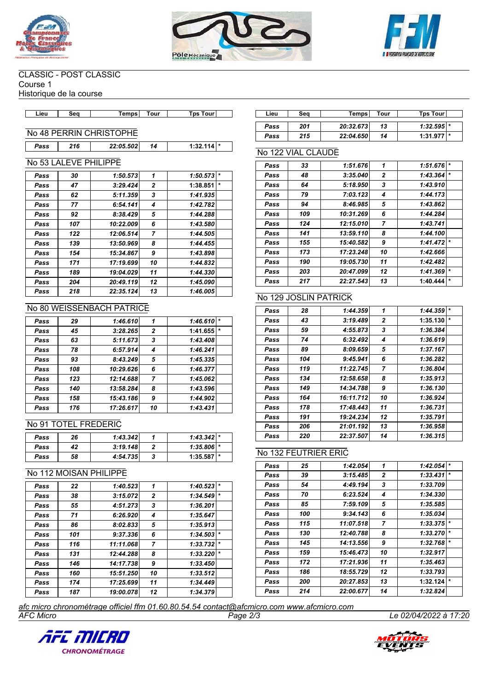





# CLASSIC - POST CLASSIC

Course 1

Historique de la course

|  |  | .ieu | ser | <b>Temps</b> | Tour | Tour<br>Гps |  | _ieu | - -<br>. | <b>Temps</b> | Tour | <b>TDS</b><br>. our |
|--|--|------|-----|--------------|------|-------------|--|------|----------|--------------|------|---------------------|
|--|--|------|-----|--------------|------|-------------|--|------|----------|--------------|------|---------------------|

# No 48 PERRIN CHRISTOPHE

| 216 | 5021<br>74 | - - - | 1 ∗ |
|-----|------------|-------|-----|
|-----|------------|-------|-----|

# No 53 LALEVE PHILIPPE

| Pass | 30  | 1:50.573  | 1            | $\star$<br>1:50.573 |
|------|-----|-----------|--------------|---------------------|
| Pass | 47  | 3:29.424  | $\mathbf{2}$ | $\star$<br>1:38.851 |
| Pass | 62  | 5:11.359  | 3            | 1:41.935            |
| Pass | 77  | 6:54.141  | 4            | 1:42.782            |
| Pass | 92  | 8:38.429  | 5            | 1:44.288            |
| Pass | 107 | 10:22.009 | 6            | 1:43.580            |
| Pass | 122 | 12:06.514 | 7            | 1:44.505            |
| Pass | 139 | 13:50.969 | 8            | 1:44.455            |
| Pass | 154 | 15:34.867 | 9            | 1:43.898            |
| Pass | 171 | 17:19.699 | 10           | 1:44.832            |
| Pass | 189 | 19:04.029 | 11           | 1:44.330            |
| Pass | 204 | 20:49.119 | 12           | 1:45.090            |
| Pass | 218 | 22:35.124 | 13           | 1:46.005            |

### No 80 WEISSENBACH PATRICE

| Pass | 29  | 1:46.610  | 1              | 1:46.610            |  |
|------|-----|-----------|----------------|---------------------|--|
| Pass | 45  | 3:28.265  | $\overline{2}$ | $\star$<br>1:41.655 |  |
| Pass | 63  | 5:11.673  | 3              | 1:43.408            |  |
| Pass | 78  | 6:57.914  | 4              | 1:46.241            |  |
| Pass | 93  | 8:43.249  | 5              | 1:45.335            |  |
| Pass | 108 | 10:29.626 | 6              | 1:46.377            |  |
| Pass | 123 | 12:14.688 | 7              | 1:45.062            |  |
| Pass | 140 | 13:58.284 | 8              | 1:43.596            |  |
| Pass | 158 | 15:43.186 | 9              | 1:44.902            |  |
| Pass | 176 | 17:26.617 | 10             | 1:43.431            |  |

### No 91 TOTEL FREDERIC

| Pass | 26 | 1:43.342 |   | $1:43.342$ *  |  |
|------|----|----------|---|---------------|--|
| Pass | 42 | 3:19.148 | ◠ | $1:35.806$ *  |  |
| Pass | 58 | 4:54.735 | u | $1:35.587$  * |  |

### No 112 MOISAN PHILIPPE

| Pass | 22  | 1:40.523  | 1            | 1:40.523 | $\star$ |
|------|-----|-----------|--------------|----------|---------|
| Pass | 38  | 3:15.072  | $\mathbf{2}$ | 1:34.549 | $\star$ |
| Pass | 55  | 4:51.273  | 3            | 1:36.201 |         |
| Pass | 71  | 6:26.920  | 4            | 1:35.647 |         |
| Pass | 86  | 8:02.833  | 5            | 1:35.913 |         |
| Pass | 101 | 9:37.336  | 6            | 1:34.503 | $\star$ |
| Pass | 116 | 11:11.068 | 7            | 1:33.732 | $\star$ |
| Pass | 131 | 12:44.288 | 8            | 1:33.220 | $\star$ |
| Pass | 146 | 14:17.738 | 9            | 1:33.450 |         |
| Pass | 160 | 15:51.250 | 10           | 1:33.512 |         |
| Pass | 174 | 17:25.699 | 11           | 1:34.449 |         |
| Pass | 187 | 19:00.078 | 12           | 1:34.379 |         |

| Lieu | Sea | Temps     | Tour | <b>Tps Tourl</b>        |
|------|-----|-----------|------|-------------------------|
| Pass | 201 | 20:32.673 | 13   | $1:32.595$ <sup>*</sup> |
| Pass | 215 | 22:04.650 | 14   | $1:31.977$ $*$          |

# No 122 VIAL CLAUDE

| Pass | 33  | 1:51.676  | 1              | 1:51.676 |         |
|------|-----|-----------|----------------|----------|---------|
| Pass | 48  | 3:35.040  | 2              | 1:43.364 |         |
| Pass | 64  | 5:18.950  | 3              | 1:43.910 |         |
| Pass | 79  | 7:03.123  | 4              | 1:44.173 |         |
| Pass | 94  | 8:46.985  | 5              | 1:43.862 |         |
| Pass | 109 | 10:31.269 | 6              | 1:44.284 |         |
| Pass | 124 | 12:15.010 | $\overline{7}$ | 1:43.741 |         |
| Pass | 141 | 13:59.110 | 8              | 1:44.100 |         |
| Pass | 155 | 15:40.582 | 9              | 1:41.472 | $\star$ |
| Pass | 173 | 17:23.248 | 10             | 1:42.666 |         |
| Pass | 190 | 19:05.730 | 11             | 1:42.482 |         |
| Pass | 203 | 20:47.099 | 12             | 1:41.369 | $\ast$  |
| Pass | 217 | 22:27.543 | 13             | 1:40.444 | $\star$ |

#### No 129 JOSLIN PATRICK

| Pass | 28  | 1:44.359  | 1              | 1:44.359 | $\ast$  |
|------|-----|-----------|----------------|----------|---------|
| Pass | 43  | 3:19.489  | 2              | 1:35.130 | $\star$ |
| Pass | 59  | 4:55.873  | 3              | 1:36.384 |         |
| Pass | 74  | 6:32.492  | 4              | 1:36.619 |         |
| Pass | 89  | 8:09.659  | 5              | 1:37.167 |         |
| Pass | 104 | 9:45.941  | 6              | 1:36.282 |         |
| Pass | 119 | 11:22.745 | $\overline{ }$ | 1:36.804 |         |
| Pass | 134 | 12:58.658 | 8              | 1:35.913 |         |
| Pass | 149 | 14:34.788 | 9              | 1:36.130 |         |
| Pass | 164 | 16:11.712 | 10             | 1:36.924 |         |
| Pass | 178 | 17:48.443 | 11             | 1:36.731 |         |
| Pass | 191 | 19:24.234 | 12             | 1:35.791 |         |
| Pass | 206 | 21:01.192 | 13             | 1:36.958 |         |
| Pass | 220 | 22:37.507 | 14             | 1:36.315 |         |

### No 132 FEUTRIER ERIC

| Pass | 25  | 1:42.054  | 1            | 1:42.054 | $\star$ |
|------|-----|-----------|--------------|----------|---------|
| Pass | 39  | 3:15.485  | $\mathbf{2}$ | 1:33.431 | $\star$ |
| Pass | 54  | 4:49.194  | 3            | 1:33.709 |         |
| Pass | 70  | 6:23.524  | 4            | 1:34.330 |         |
| Pass | 85  | 7:59.109  | 5            | 1:35.585 |         |
| Pass | 100 | 9:34.143  | 6            | 1:35.034 |         |
| Pass | 115 | 11:07.518 | 7            | 1:33.375 | $\star$ |
| Pass | 130 | 12:40.788 | 8            | 1:33.270 | $\star$ |
| Pass | 145 | 14:13.556 | 9            | 1:32.768 | $\star$ |
| Pass | 159 | 15:46.473 | 10           | 1:32.917 |         |
| Pass | 172 | 17:21.936 | 11           | 1:35.463 |         |
| Pass | 186 | 18:55.729 | 12           | 1:33.793 |         |
| Pass | 200 | 20:27.853 | 13           | 1:32.124 | $\star$ |
| Pass | 214 | 22:00.677 | 14           | 1:32.824 |         |

*AFC Micro Page 2/3 Le 02/04/2022 à 17:20 afc micro chronométrage officiel ffm 01.60.80.54.54 contact@afcmicro.com www.afcmicro.com*